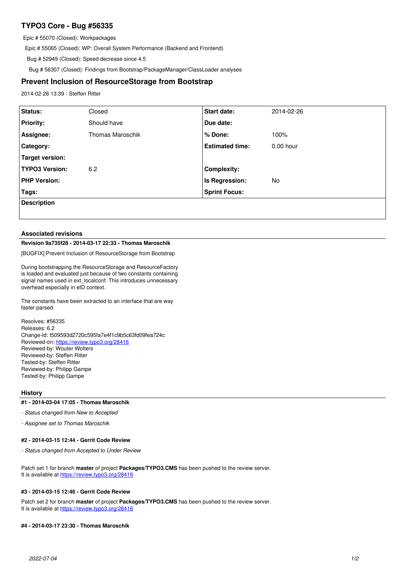# **TYPO3 Core - Bug #56335**

Epic # 55070 (Closed): Workpackages

Epic # 55065 (Closed): WP: Overall System Performance (Backend and Frontend)

Bug # 52949 (Closed): Speed decrease since 4.5

Bug # 56307 (Closed): Findings from Bootstrap/PackageManager/ClassLoader analyses

## **Prevent Inclusion of ResourceStorage from Bootstrap**

2014-02-26 13:39 - Steffen Ritter

| Status:               | Closed                  | Start date:            | 2014-02-26  |
|-----------------------|-------------------------|------------------------|-------------|
| <b>Priority:</b>      | Should have             | Due date:              |             |
| Assignee:             | <b>Thomas Maroschik</b> | % Done:                | 100%        |
| Category:             |                         | <b>Estimated time:</b> | $0.00$ hour |
| Target version:       |                         |                        |             |
| <b>TYPO3 Version:</b> | 6.2                     | <b>Complexity:</b>     |             |
| <b>PHP Version:</b>   |                         | Is Regression:         | No          |
| Tags:                 |                         | <b>Sprint Focus:</b>   |             |
| <b>Description</b>    |                         |                        |             |
|                       |                         |                        |             |

### **Associated revisions**

### **Revision 9a735f28 - 2014-03-17 22:33 - Thomas Maroschik**

[BUGFIX] Prevent Inclusion of ResourceStorage from Bootstrap

During bootstrapping the ResourceStorage and ResourceFactory is loaded and evaluated just because of two constants containing signal names used in ext localconf. This introduces unnecessary overhead especially in eID context.

The constants have been extracted to an interface that are way faster parsed.

Resolves: #56335 Releases: 6.2 Change-Id: I509593d2720c595fa7e4f1c9b5c63fd09fea724c Reviewed-on:<https://review.typo3.org/28416> Reviewed-by: Wouter Wolters Reviewed-by: Steffen Ritter Tested-by: Steffen Ritter Reviewed-by: Philipp Gampe Tested-by: Philipp Gampe

## **History**

#### **#1 - 2014-03-04 17:05 - Thomas Maroschik**

*- Status changed from New to Accepted*

*- Assignee set to Thomas Maroschik*

#### **#2 - 2014-03-15 12:44 - Gerrit Code Review**

*- Status changed from Accepted to Under Review*

Patch set 1 for branch **master** of project **Packages/TYPO3.CMS** has been pushed to the review server. It is available at <https://review.typo3.org/28416>

#### **#3 - 2014-03-15 12:46 - Gerrit Code Review**

Patch set 2 for branch **master** of project **Packages/TYPO3.CMS** has been pushed to the review server. It is available at <https://review.typo3.org/28416>

## **#4 - 2014-03-17 23:30 - Thomas Maroschik**